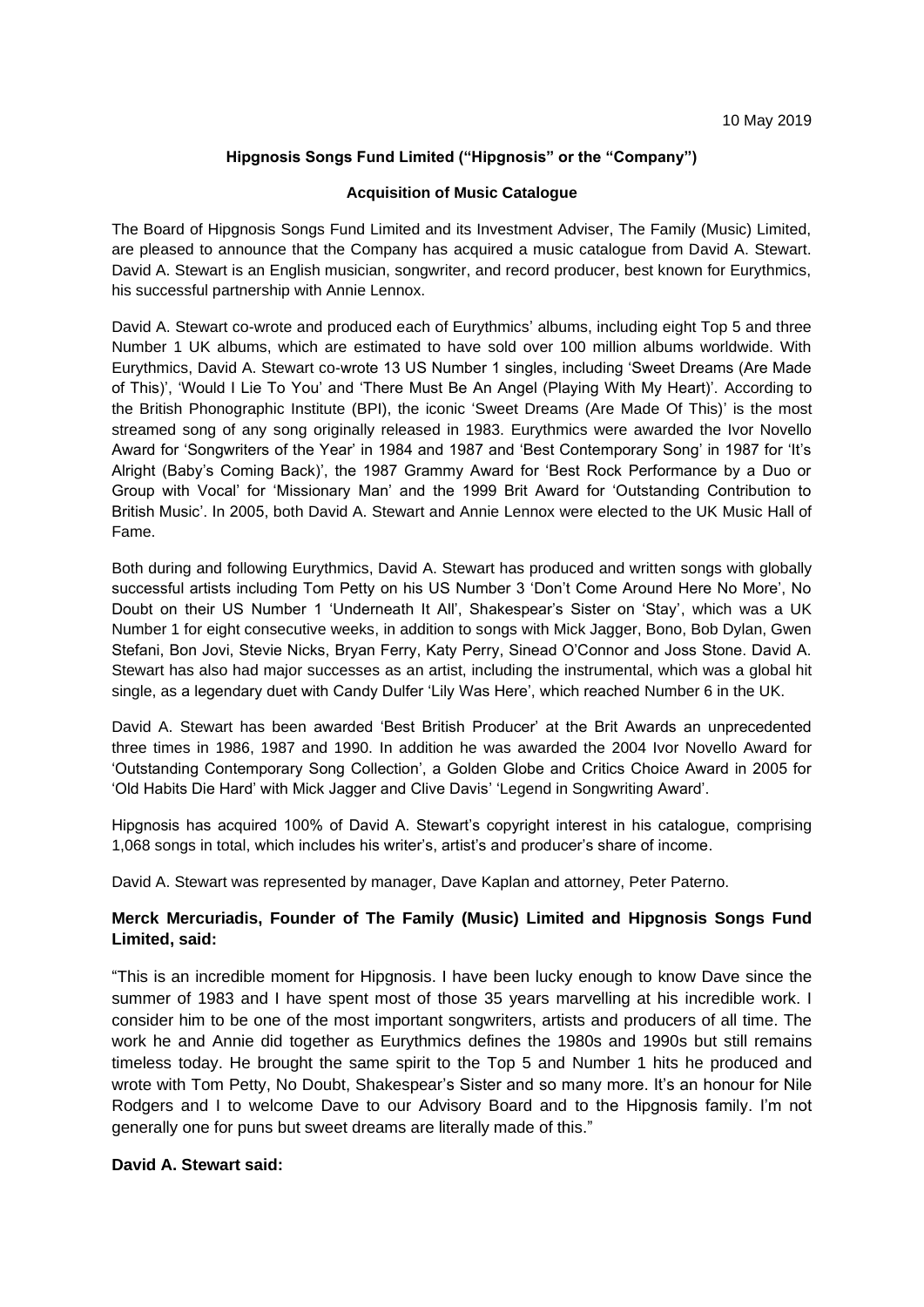## **Hipgnosis Songs Fund Limited ("Hipgnosis" or the "Company")**

#### **Acquisition of Music Catalogue**

The Board of Hipgnosis Songs Fund Limited and its Investment Adviser, The Family (Music) Limited, are pleased to announce that the Company has acquired a music catalogue from David A. Stewart. David A. Stewart is an English musician, songwriter, and record producer, best known for Eurythmics, his successful partnership with Annie Lennox.

David A. Stewart co-wrote and produced each of Eurythmics' albums, including eight Top 5 and three Number 1 UK albums, which are estimated to have sold over 100 million albums worldwide. With Eurythmics, David A. Stewart co-wrote 13 US Number 1 singles, including 'Sweet Dreams (Are Made of This)', 'Would I Lie To You' and 'There Must Be An Angel (Playing With My Heart)'. According to the British Phonographic Institute (BPI), the iconic 'Sweet Dreams (Are Made Of This)' is the most streamed song of any song originally released in 1983. Eurythmics were awarded the Ivor Novello Award for 'Songwriters of the Year' in 1984 and 1987 and 'Best Contemporary Song' in 1987 for 'It's Alright (Baby's Coming Back)', the 1987 Grammy Award for 'Best Rock Performance by a Duo or Group with Vocal' for 'Missionary Man' and the 1999 Brit Award for 'Outstanding Contribution to British Music'. In 2005, both David A. Stewart and Annie Lennox were elected to the UK Music Hall of Fame.

Both during and following Eurythmics, David A. Stewart has produced and written songs with globally successful artists including Tom Petty on his US Number 3 'Don't Come Around Here No More', No Doubt on their US Number 1 'Underneath It All', Shakespear's Sister on 'Stay', which was a UK Number 1 for eight consecutive weeks, in addition to songs with Mick Jagger, Bono, Bob Dylan, Gwen Stefani, Bon Jovi, Stevie Nicks, Bryan Ferry, Katy Perry, Sinead O'Connor and Joss Stone. David A. Stewart has also had major successes as an artist, including the instrumental, which was a global hit single, as a legendary duet with Candy Dulfer 'Lily Was Here', which reached Number 6 in the UK.

David A. Stewart has been awarded 'Best British Producer' at the Brit Awards an unprecedented three times in 1986, 1987 and 1990. In addition he was awarded the 2004 Ivor Novello Award for 'Outstanding Contemporary Song Collection', a Golden Globe and Critics Choice Award in 2005 for 'Old Habits Die Hard' with Mick Jagger and Clive Davis' 'Legend in Songwriting Award'.

Hipgnosis has acquired 100% of David A. Stewart's copyright interest in his catalogue, comprising 1,068 songs in total, which includes his writer's, artist's and producer's share of income.

David A. Stewart was represented by manager, Dave Kaplan and attorney, Peter Paterno.

# **Merck Mercuriadis, Founder of The Family (Music) Limited and Hipgnosis Songs Fund Limited, said:**

"This is an incredible moment for Hipgnosis. I have been lucky enough to know Dave since the summer of 1983 and I have spent most of those 35 years marvelling at his incredible work. I consider him to be one of the most important songwriters, artists and producers of all time. The work he and Annie did together as Eurythmics defines the 1980s and 1990s but still remains timeless today. He brought the same spirit to the Top 5 and Number 1 hits he produced and wrote with Tom Petty, No Doubt, Shakespear's Sister and so many more. It's an honour for Nile Rodgers and I to welcome Dave to our Advisory Board and to the Hipgnosis family. I'm not generally one for puns but sweet dreams are literally made of this."

### **David A. Stewart said:**